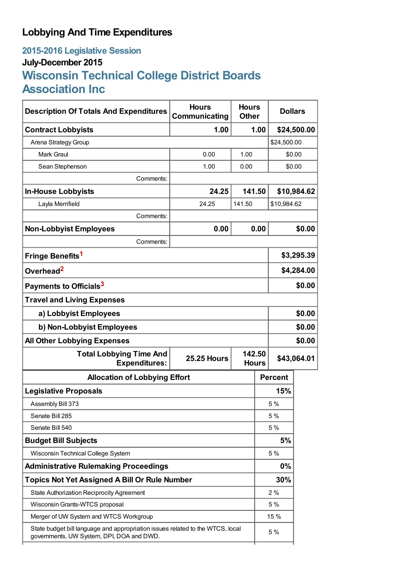## **Lobbying And Time Expenditures**

## **2015-2016 Legislative Session July-December 2015 Wisconsin Technical College District Boards Association Inc**

| <b>Description Of Totals And Expenditures</b>                                                                               | <b>Hours</b><br><b>Hours</b><br>Communicating<br><b>Other</b> |        |                        | <b>Dollars</b> |        |  |
|-----------------------------------------------------------------------------------------------------------------------------|---------------------------------------------------------------|--------|------------------------|----------------|--------|--|
| <b>Contract Lobbyists</b>                                                                                                   | 1.00                                                          |        | 1.00                   | \$24,500.00    |        |  |
| Arena Strategy Group                                                                                                        |                                                               |        |                        | \$24,500.00    |        |  |
| <b>Mark Graul</b>                                                                                                           | 0.00                                                          | 1.00   |                        | \$0.00         |        |  |
| Sean Stephenson                                                                                                             | 1.00                                                          | 0.00   |                        | \$0.00         |        |  |
| Comments:                                                                                                                   |                                                               |        |                        |                |        |  |
| <b>In-House Lobbyists</b>                                                                                                   | 24.25                                                         | 141.50 |                        | \$10,984.62    |        |  |
| Layla Merrifield                                                                                                            | 24.25                                                         | 141.50 |                        | \$10,984.62    |        |  |
| Comments:                                                                                                                   |                                                               |        |                        |                |        |  |
| <b>Non-Lobbyist Employees</b>                                                                                               | 0.00                                                          |        | 0.00                   |                | \$0.00 |  |
| Comments:                                                                                                                   |                                                               |        |                        |                |        |  |
| Fringe Benefits <sup>1</sup>                                                                                                |                                                               |        | \$3,295.39             |                |        |  |
| Overhead <sup>2</sup>                                                                                                       |                                                               |        |                        | \$4,284.00     |        |  |
| Payments to Officials <sup>3</sup>                                                                                          |                                                               |        |                        | \$0.00         |        |  |
| <b>Travel and Living Expenses</b>                                                                                           |                                                               |        |                        |                |        |  |
| a) Lobbyist Employees                                                                                                       |                                                               |        |                        | \$0.00         |        |  |
| b) Non-Lobbyist Employees                                                                                                   |                                                               |        |                        | \$0.00         |        |  |
| <b>All Other Lobbying Expenses</b>                                                                                          |                                                               |        |                        |                | \$0.00 |  |
| <b>Total Lobbying Time And</b><br><b>Expenditures:</b>                                                                      | <b>25.25 Hours</b>                                            |        | 142.50<br><b>Hours</b> | \$43,064.01    |        |  |
| <b>Allocation of Lobbying Effort</b>                                                                                        |                                                               |        |                        | <b>Percent</b> |        |  |
| <b>Legislative Proposals</b>                                                                                                |                                                               |        |                        | 15%            |        |  |
| Assembly Bill 373                                                                                                           |                                                               |        |                        | 5 %            |        |  |
| Senate Bill 285                                                                                                             |                                                               |        |                        | 5 %            |        |  |
| Senate Bill 540                                                                                                             |                                                               |        |                        | 5 %            |        |  |
| <b>Budget Bill Subjects</b>                                                                                                 |                                                               |        | 5%                     |                |        |  |
| Wisconsin Technical College System                                                                                          |                                                               |        | 5 %                    |                |        |  |
| <b>Administrative Rulemaking Proceedings</b>                                                                                |                                                               |        |                        | 0%             |        |  |
| <b>Topics Not Yet Assigned A Bill Or Rule Number</b>                                                                        |                                                               |        | 30%                    |                |        |  |
| State Authorization Reciprocity Agreement                                                                                   |                                                               |        |                        | 2%             |        |  |
| Wisconsin Grants-WTCS proposal                                                                                              |                                                               |        |                        | 5 %            |        |  |
| Merger of UW System and WTCS Workgroup                                                                                      |                                                               |        |                        | 15 %           |        |  |
| State budget bill language and appropriation issues related to the WTCS, local<br>governments, UW System, DPI, DOA and DWD. |                                                               |        |                        | 5 %            |        |  |